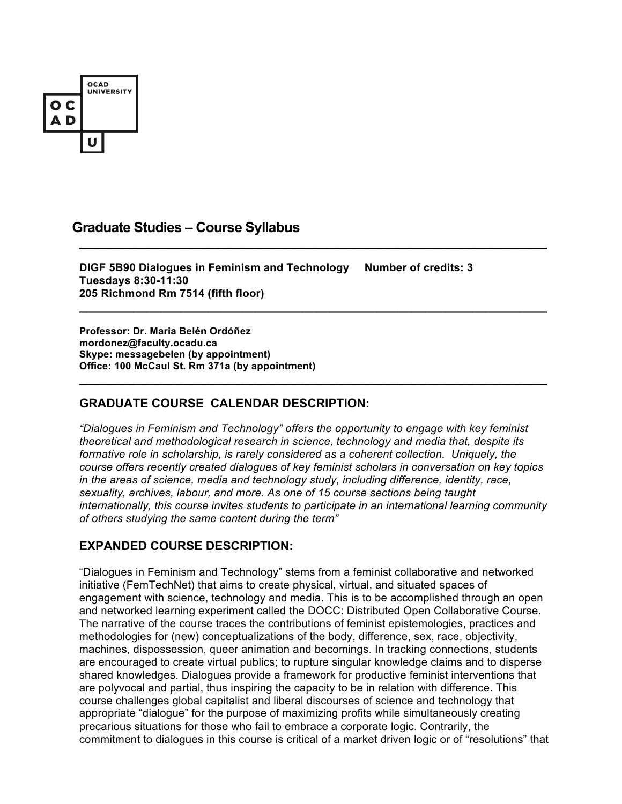

# **Graduate Studies – Course Syllabus**

**DIGF 5B90 Dialogues in Feminism and Technology Number of credits: 3 Tuesdays 8:30-11:30 205 Richmond Rm 7514 (fifth floor)**

**\_\_\_\_\_\_\_\_\_\_\_\_\_\_\_\_\_\_\_\_\_\_\_\_\_\_\_\_\_\_\_\_\_\_\_\_\_\_\_\_\_\_\_\_\_\_\_\_\_\_\_\_\_\_\_\_\_\_\_\_\_\_\_\_\_\_\_\_\_**

**\_\_\_\_\_\_\_\_\_\_\_\_\_\_\_\_\_\_\_\_\_\_\_\_\_\_\_\_\_\_\_\_\_\_\_\_\_\_\_\_\_\_\_\_\_\_\_\_\_\_\_\_\_\_\_\_\_\_\_\_\_\_\_\_\_\_\_\_\_**

**\_\_\_\_\_\_\_\_\_\_\_\_\_\_\_\_\_\_\_\_\_\_\_\_\_\_\_\_\_\_\_\_\_\_\_\_\_\_\_\_\_\_\_\_\_\_\_\_\_\_\_\_\_\_\_\_\_\_\_\_\_\_\_\_\_\_\_\_\_**

**Professor: Dr. Maria Belén Ordóñez mordonez@faculty.ocadu.ca Skype: messagebelen (by appointment) Office: 100 McCaul St. Rm 371a (by appointment)**

# **GRADUATE COURSE CALENDAR DESCRIPTION:**

*"Dialogues in Feminism and Technology" offers the opportunity to engage with key feminist theoretical and methodological research in science, technology and media that, despite its formative role in scholarship, is rarely considered as a coherent collection. Uniquely, the course offers recently created dialogues of key feminist scholars in conversation on key topics in the areas of science, media and technology study, including difference, identity, race, sexuality, archives, labour, and more. As one of 15 course sections being taught internationally, this course invites students to participate in an international learning community of others studying the same content during the term"*

## **EXPANDED COURSE DESCRIPTION:**

"Dialogues in Feminism and Technology" stems from a feminist collaborative and networked initiative (FemTechNet) that aims to create physical, virtual, and situated spaces of engagement with science, technology and media. This is to be accomplished through an open and networked learning experiment called the DOCC: Distributed Open Collaborative Course. The narrative of the course traces the contributions of feminist epistemologies, practices and methodologies for (new) conceptualizations of the body, difference, sex, race, objectivity, machines, dispossession, queer animation and becomings. In tracking connections, students are encouraged to create virtual publics; to rupture singular knowledge claims and to disperse shared knowledges. Dialogues provide a framework for productive feminist interventions that are polyvocal and partial, thus inspiring the capacity to be in relation with difference. This course challenges global capitalist and liberal discourses of science and technology that appropriate "dialogue" for the purpose of maximizing profits while simultaneously creating precarious situations for those who fail to embrace a corporate logic. Contrarily, the commitment to dialogues in this course is critical of a market driven logic or of "resolutions" that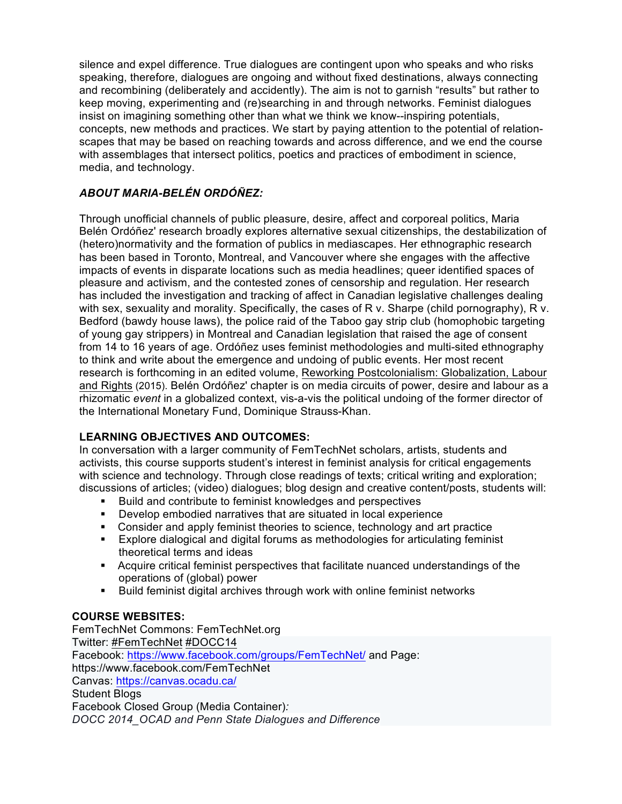silence and expel difference. True dialogues are contingent upon who speaks and who risks speaking, therefore, dialogues are ongoing and without fixed destinations, always connecting and recombining (deliberately and accidently). The aim is not to garnish "results" but rather to keep moving, experimenting and (re)searching in and through networks. Feminist dialogues insist on imagining something other than what we think we know--inspiring potentials, concepts, new methods and practices. We start by paying attention to the potential of relationscapes that may be based on reaching towards and across difference, and we end the course with assemblages that intersect politics, poetics and practices of embodiment in science, media, and technology.

# *ABOUT MARIA-BELÉN ORDÓÑEZ:*

Through unofficial channels of public pleasure, desire, affect and corporeal politics, Maria Belén Ordóñez' research broadly explores alternative sexual citizenships, the destabilization of (hetero)normativity and the formation of publics in mediascapes. Her ethnographic research has been based in Toronto, Montreal, and Vancouver where she engages with the affective impacts of events in disparate locations such as media headlines; queer identified spaces of pleasure and activism, and the contested zones of censorship and regulation. Her research has included the investigation and tracking of affect in Canadian legislative challenges dealing with sex, sexuality and morality. Specifically, the cases of R v. Sharpe (child pornography), R v. Bedford (bawdy house laws), the police raid of the Taboo gay strip club (homophobic targeting of young gay strippers) in Montreal and Canadian legislation that raised the age of consent from 14 to 16 years of age. Ordóñez uses feminist methodologies and multi-sited ethnography to think and write about the emergence and undoing of public events. Her most recent research is forthcoming in an edited volume, Reworking Postcolonialism: Globalization, Labour and Rights (2015). Belén Ordóñez' chapter is on media circuits of power, desire and labour as a rhizomatic *event* in a globalized context, vis-a-vis the political undoing of the former director of the International Monetary Fund, Dominique Strauss-Khan.

# **LEARNING OBJECTIVES AND OUTCOMES:**

In conversation with a larger community of FemTechNet scholars, artists, students and activists, this course supports student's interest in feminist analysis for critical engagements with science and technology. Through close readings of texts; critical writing and exploration; discussions of articles; (video) dialogues; blog design and creative content/posts, students will:

- ! Build and contribute to feminist knowledges and perspectives
- ! Develop embodied narratives that are situated in local experience
- ! Consider and apply feminist theories to science, technology and art practice
- ! Explore dialogical and digital forums as methodologies for articulating feminist theoretical terms and ideas
- ! Acquire critical feminist perspectives that facilitate nuanced understandings of the operations of (global) power
- ! Build feminist digital archives through work with online feminist networks

# **COURSE WEBSITES:**

FemTechNet Commons: FemTechNet.org Twitter: #FemTechNet #DOCC14 Facebook: https://www.facebook.com/groups/FemTechNet/ and Page: https://www.facebook.com/FemTechNet Canvas: https://canvas.ocadu.ca/ Student Blogs Facebook Closed Group (Media Container)*: DOCC 2014\_OCAD and Penn State Dialogues and Difference*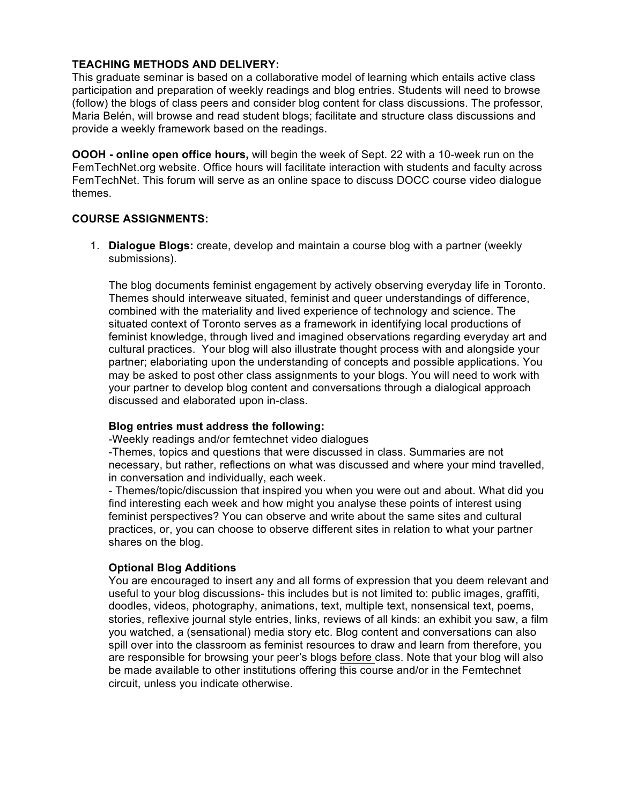# **TEACHING METHODS AND DELIVERY:**

This graduate seminar is based on a collaborative model of learning which entails active class participation and preparation of weekly readings and blog entries. Students will need to browse (follow) the blogs of class peers and consider blog content for class discussions. The professor, Maria Belén, will browse and read student blogs; facilitate and structure class discussions and provide a weekly framework based on the readings.

**OOOH - online open office hours,** will begin the week of Sept. 22 with a 10-week run on the FemTechNet.org website. Office hours will facilitate interaction with students and faculty across FemTechNet. This forum will serve as an online space to discuss DOCC course video dialogue themes.

## **COURSE ASSIGNMENTS:**

1. **Dialogue Blogs:** create, develop and maintain a course blog with a partner (weekly submissions).

The blog documents feminist engagement by actively observing everyday life in Toronto. Themes should interweave situated, feminist and queer understandings of difference, combined with the materiality and lived experience of technology and science. The situated context of Toronto serves as a framework in identifying local productions of feminist knowledge, through lived and imagined observations regarding everyday art and cultural practices. Your blog will also illustrate thought process with and alongside your partner; elaboriating upon the understanding of concepts and possible applications. You may be asked to post other class assignments to your blogs. You will need to work with your partner to develop blog content and conversations through a dialogical approach discussed and elaborated upon in-class.

## **Blog entries must address the following:**

-Weekly readings and/or femtechnet video dialogues

-Themes, topics and questions that were discussed in class. Summaries are not necessary, but rather, reflections on what was discussed and where your mind travelled, in conversation and individually, each week.

- Themes/topic/discussion that inspired you when you were out and about. What did you find interesting each week and how might you analyse these points of interest using feminist perspectives? You can observe and write about the same sites and cultural practices, or, you can choose to observe different sites in relation to what your partner shares on the blog.

## **Optional Blog Additions**

You are encouraged to insert any and all forms of expression that you deem relevant and useful to your blog discussions- this includes but is not limited to: public images, graffiti, doodles, videos, photography, animations, text, multiple text, nonsensical text, poems, stories, reflexive journal style entries, links, reviews of all kinds: an exhibit you saw, a film you watched, a (sensational) media story etc. Blog content and conversations can also spill over into the classroom as feminist resources to draw and learn from therefore, you are responsible for browsing your peer's blogs before class. Note that your blog will also be made available to other institutions offering this course and/or in the Femtechnet circuit, unless you indicate otherwise.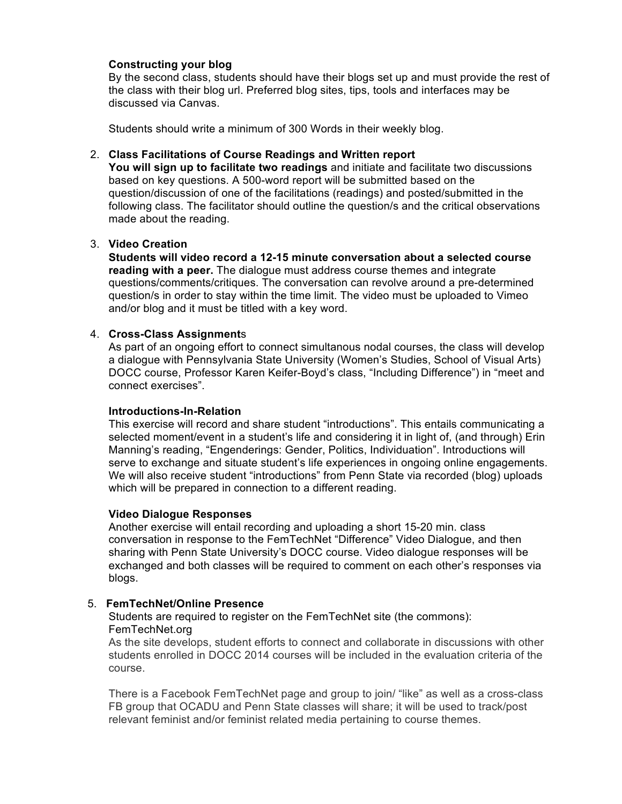### **Constructing your blog**

By the second class, students should have their blogs set up and must provide the rest of the class with their blog url. Preferred blog sites, tips, tools and interfaces may be discussed via Canvas.

Students should write a minimum of 300 Words in their weekly blog.

#### 2. **Class Facilitations of Course Readings and Written report**

**You will sign up to facilitate two readings** and initiate and facilitate two discussions based on key questions. A 500-word report will be submitted based on the question/discussion of one of the facilitations (readings) and posted/submitted in the following class. The facilitator should outline the question/s and the critical observations made about the reading.

#### 3. **Video Creation**

**Students will video record a 12-15 minute conversation about a selected course reading with a peer.** The dialogue must address course themes and integrate questions/comments/critiques. The conversation can revolve around a pre-determined question/s in order to stay within the time limit. The video must be uploaded to Vimeo and/or blog and it must be titled with a key word.

#### 4. **Cross-Class Assignment**s

As part of an ongoing effort to connect simultanous nodal courses, the class will develop a dialogue with Pennsylvania State University (Women's Studies, School of Visual Arts) DOCC course, Professor Karen Keifer-Boyd's class, "Including Difference") in "meet and connect exercises".

#### **Introductions-In-Relation**

This exercise will record and share student "introductions". This entails communicating a selected moment/event in a student's life and considering it in light of, (and through) Erin Manning's reading, "Engenderings: Gender, Politics, Individuation". Introductions will serve to exchange and situate student's life experiences in ongoing online engagements. We will also receive student "introductions" from Penn State via recorded (blog) uploads which will be prepared in connection to a different reading.

#### **Video Dialogue Responses**

Another exercise will entail recording and uploading a short 15-20 min. class conversation in response to the FemTechNet "Difference" Video Dialogue, and then sharing with Penn State University's DOCC course. Video dialogue responses will be exchanged and both classes will be required to comment on each other's responses via blogs.

## 5. **FemTechNet/Online Presence**

Students are required to register on the FemTechNet site (the commons): FemTechNet.org

As the site develops, student efforts to connect and collaborate in discussions with other students enrolled in DOCC 2014 courses will be included in the evaluation criteria of the course.

There is a Facebook FemTechNet page and group to join/ "like" as well as a cross-class FB group that OCADU and Penn State classes will share; it will be used to track/post relevant feminist and/or feminist related media pertaining to course themes.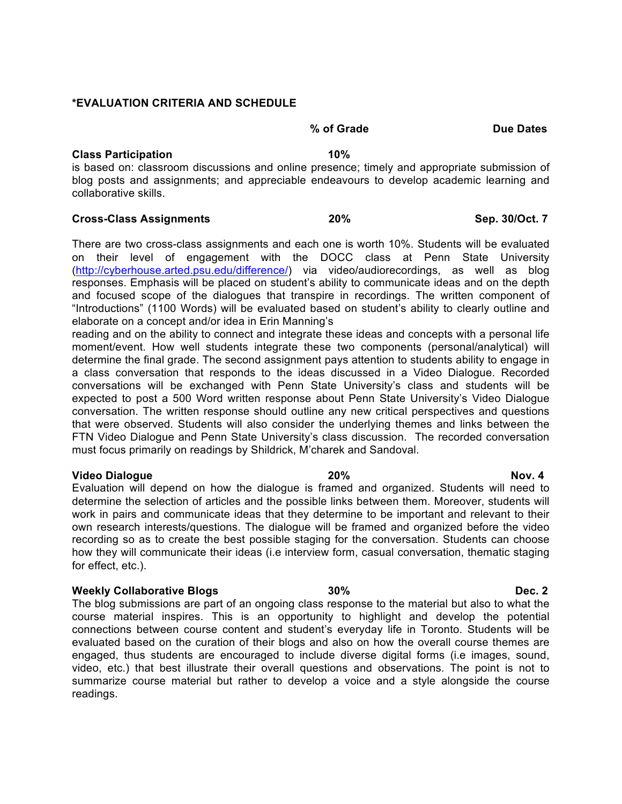#### **\*EVALUATION CRITERIA AND SCHEDULE**

#### **% of Grade Due Dates**

#### **Class Participation 10%**

is based on: classroom discussions and online presence; timely and appropriate submission of blog posts and assignments; and appreciable endeavours to develop academic learning and collaborative skills.

#### **Cross-Class Assignments 20% Sep. 30/Oct. 7**

There are two cross-class assignments and each one is worth 10%. Students will be evaluated on their level of engagement with the DOCC class at Penn State University (http://cyberhouse.arted.psu.edu/difference/) via video/audiorecordings, as well as blog responses. Emphasis will be placed on student's ability to communicate ideas and on the depth and focused scope of the dialogues that transpire in recordings. The written component of "Introductions" (1100 Words) will be evaluated based on student's ability to clearly outline and elaborate on a concept and/or idea in Erin Manning's

reading and on the ability to connect and integrate these ideas and concepts with a personal life moment/event. How well students integrate these two components (personal/analytical) will determine the final grade. The second assignment pays attention to students ability to engage in a class conversation that responds to the ideas discussed in a Video Dialogue. Recorded conversations will be exchanged with Penn State University's class and students will be expected to post a 500 Word written response about Penn State University's Video Dialogue conversation. The written response should outline any new critical perspectives and questions that were observed. Students will also consider the underlying themes and links between the FTN Video Dialogue and Penn State University's class discussion. The recorded conversation must focus primarily on readings by Shildrick, M'charek and Sandoval.

#### **Video Dialogue 20% Nov. 4**

Evaluation will depend on how the dialogue is framed and organized. Students will need to determine the selection of articles and the possible links between them. Moreover, students will work in pairs and communicate ideas that they determine to be important and relevant to their own research interests/questions. The dialogue will be framed and organized before the video recording so as to create the best possible staging for the conversation. Students can choose how they will communicate their ideas (i.e interview form, casual conversation, thematic staging for effect, etc.).

#### **Weekly Collaborative Blogs 1988 30% Dec. 2**

The blog submissions are part of an ongoing class response to the material but also to what the course material inspires. This is an opportunity to highlight and develop the potential connections between course content and student's everyday life in Toronto. Students will be evaluated based on the curation of their blogs and also on how the overall course themes are engaged, thus students are encouraged to include diverse digital forms (i.e images, sound, video, etc.) that best illustrate their overall questions and observations. The point is not to summarize course material but rather to develop a voice and a style alongside the course readings.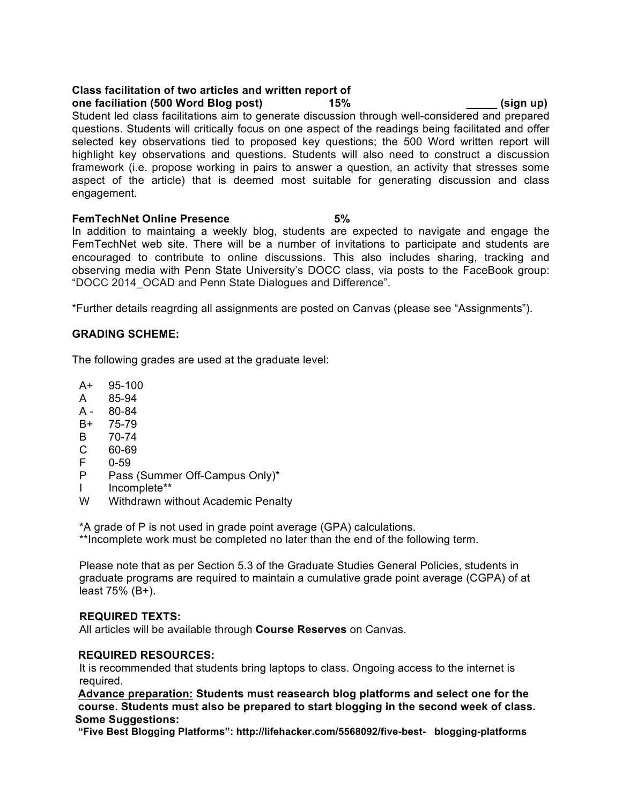#### **Class facilitation of two articles and written report of one faciliation (500 Word Blog post) 15% \_\_\_\_\_ (sign up)**

Student led class facilitations aim to generate discussion through well-considered and prepared questions. Students will critically focus on one aspect of the readings being facilitated and offer selected key observations tied to proposed key questions; the 500 Word written report will highlight key observations and questions. Students will also need to construct a discussion framework (i.e. propose working in pairs to answer a question, an activity that stresses some aspect of the article) that is deemed most suitable for generating discussion and class engagement.

#### **FemTechNet Online Presence 5%**

In addition to maintaing a weekly blog, students are expected to navigate and engage the FemTechNet web site. There will be a number of invitations to participate and students are encouraged to contribute to online discussions. This also includes sharing, tracking and observing media with Penn State University's DOCC class, via posts to the FaceBook group: "DOCC 2014\_OCAD and Penn State Dialogues and Difference".

\*Further details reagrding all assignments are posted on Canvas (please see "Assignments").

# **GRADING SCHEME:**

The following grades are used at the graduate level:

- A+ 95-100
- A 85-94
- A 80-84
- B+ 75-79
- B 70-74
- C 60-69
- F 0-59
- P Pass (Summer Off-Campus Only)\*
- I Incomplete\*\*
- W Withdrawn without Academic Penalty

\*A grade of P is not used in grade point average (GPA) calculations.

\*\*Incomplete work must be completed no later than the end of the following term.

Please note that as per Section 5.3 of the Graduate Studies General Policies, students in graduate programs are required to maintain a cumulative grade point average (CGPA) of at least 75% (B+).

## **REQUIRED TEXTS:**

All articles will be available through **Course Reserves** on Canvas.

## **REQUIRED RESOURCES:**

It is recommended that students bring laptops to class. Ongoing access to the internet is required.

**Advance preparation: Students must reasearch blog platforms and select one for the course. Students must also be prepared to start blogging in the second week of class. Some Suggestions:**

 **"Five Best Blogging Platforms": http://lifehacker.com/5568092/five-best- blogging-platforms**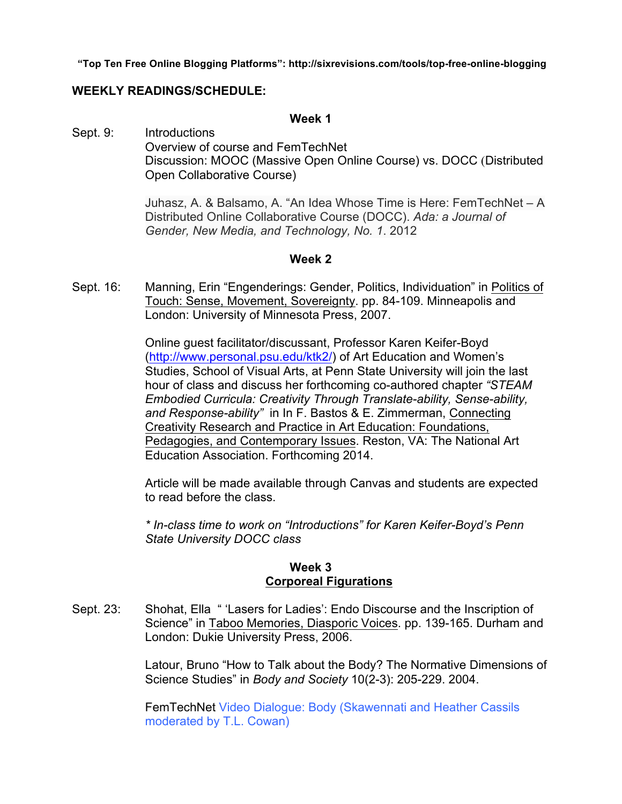**"Top Ten Free Online Blogging Platforms": http://sixrevisions.com/tools/top-free-online-blogging**

# **WEEKLY READINGS/SCHEDULE:**

### **Week 1**

Sept. 9: Introductions Overview of course and FemTechNet Discussion: MOOC (Massive Open Online Course) vs. DOCC (Distributed Open Collaborative Course)

> Juhasz, A. & Balsamo, A. "An Idea Whose Time is Here: FemTechNet – A Distributed Online Collaborative Course (DOCC). *Ada: a Journal of Gender, New Media, and Technology, No. 1*. 2012

## **Week 2**

Sept. 16: Manning, Erin "Engenderings: Gender, Politics, Individuation" in Politics of Touch: Sense, Movement, Sovereignty. pp. 84-109. Minneapolis and London: University of Minnesota Press, 2007.

> Online guest facilitator/discussant, Professor Karen Keifer-Boyd (http://www.personal.psu.edu/ktk2/) of Art Education and Women's Studies, School of Visual Arts, at Penn State University will join the last hour of class and discuss her forthcoming co-authored chapter *"STEAM Embodied Curricula: Creativity Through Translate-ability, Sense-ability, and Response-ability"* in In F. Bastos & E. Zimmerman, Connecting Creativity Research and Practice in Art Education: Foundations, Pedagogies, and Contemporary Issues. Reston, VA: The National Art Education Association. Forthcoming 2014.

Article will be made available through Canvas and students are expected to read before the class.

*\* In-class time to work on "Introductions" for Karen Keifer-Boyd's Penn State University DOCC class*

# **Week 3 Corporeal Figurations**

Sept. 23: Shohat, Ella " 'Lasers for Ladies': Endo Discourse and the Inscription of Science" in Taboo Memories, Diasporic Voices. pp. 139-165. Durham and London: Dukie University Press, 2006.

> Latour, Bruno "How to Talk about the Body? The Normative Dimensions of Science Studies" in *Body and Society* 10(2-3): 205-229. 2004.

FemTechNet Video Dialogue: Body (Skawennati and Heather Cassils moderated by T.L. Cowan)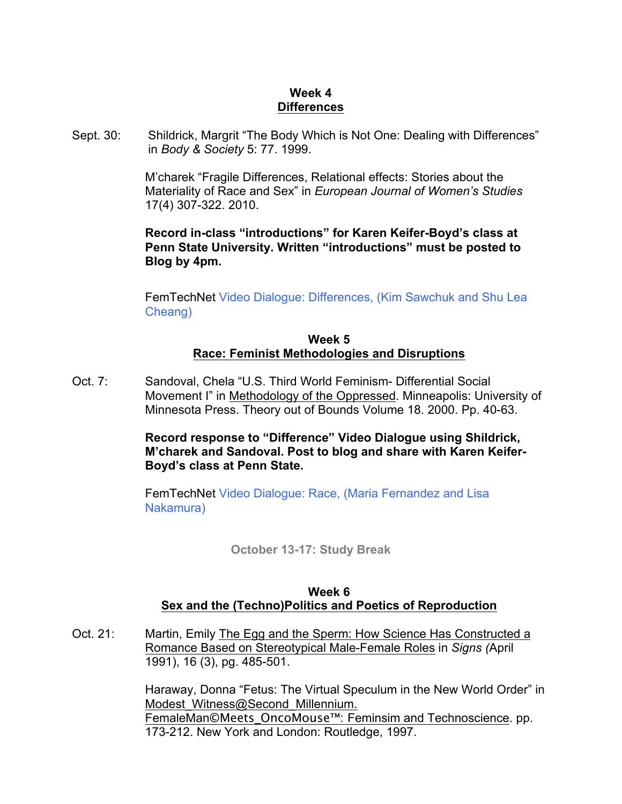# **Week 4 Differences**

Sept. 30: Shildrick, Margrit "The Body Which is Not One: Dealing with Differences" in *Body & Society* 5: 77. 1999.

> M'charek "Fragile Differences, Relational effects: Stories about the Materiality of Race and Sex" in *European Journal of Women's Studies* 17(4) 307-322. 2010.

> **Record in-class "introductions" for Karen Keifer-Boyd's class at Penn State University. Written "introductions" must be posted to Blog by 4pm.**

FemTechNet Video Dialogue: Differences, (Kim Sawchuk and Shu Lea Cheang)

# **Week 5 Race: Feminist Methodologies and Disruptions**

Oct. 7: Sandoval, Chela "U.S. Third World Feminism- Differential Social Movement I" in Methodology of the Oppressed. Minneapolis: University of Minnesota Press. Theory out of Bounds Volume 18. 2000. Pp. 40-63.

> **Record response to "Difference" Video Dialogue using Shildrick, M'charek and Sandoval. Post to blog and share with Karen Keifer-Boyd's class at Penn State.**

FemTechNet Video Dialogue: Race, (Maria Fernandez and Lisa Nakamura)

**October 13-17: Study Break**

# **Week 6 Sex and the (Techno)Politics and Poetics of Reproduction**

Oct. 21: Martin, Emily The Egg and the Sperm: How Science Has Constructed a Romance Based on Stereotypical Male-Female Roles in *Signs (*April 1991), 16 (3), pg. 485-501.

> Haraway, Donna "Fetus: The Virtual Speculum in the New World Order" in Modest Witness@Second Millennium. FemaleMan**©**Meets\_OncoMouse™: Feminsim and Technoscience. pp. 173-212. New York and London: Routledge, 1997.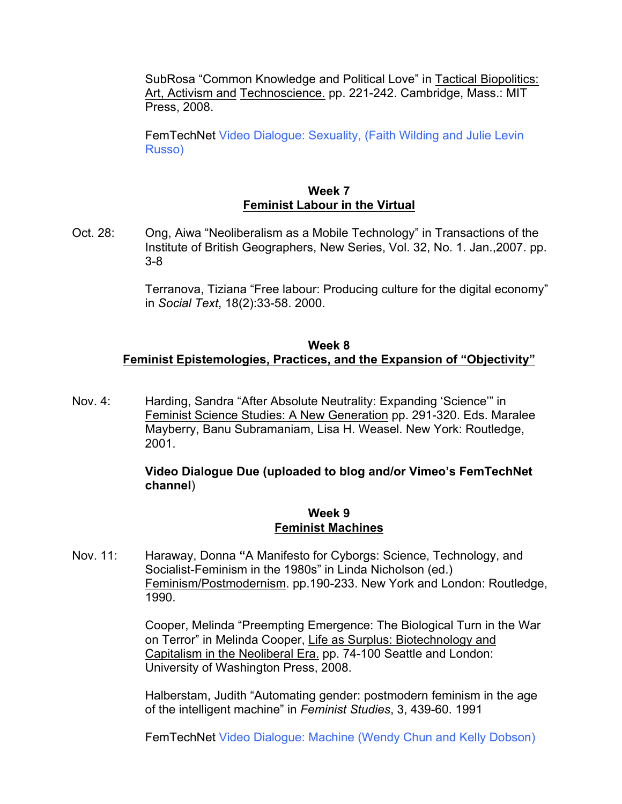SubRosa "Common Knowledge and Political Love" in Tactical Biopolitics: Art, Activism and Technoscience. pp. 221-242. Cambridge, Mass.: MIT Press, 2008.

FemTechNet Video Dialogue: Sexuality, (Faith Wilding and Julie Levin Russo)

# **Week 7 Feminist Labour in the Virtual**

Oct. 28: Ong, Aiwa "Neoliberalism as a Mobile Technology" in Transactions of the Institute of British Geographers, New Series, Vol. 32, No. 1. Jan.,2007. pp. 3-8

> Terranova, Tiziana "Free labour: Producing culture for the digital economy" in *Social Text*, 18(2):33-58. 2000.

# **Week 8 Feminist Epistemologies, Practices, and the Expansion of "Objectivity"**

Nov. 4: Harding, Sandra "After Absolute Neutrality: Expanding 'Science'" in Feminist Science Studies: A New Generation pp. 291-320. Eds. Maralee Mayberry, Banu Subramaniam, Lisa H. Weasel. New York: Routledge, 2001.

# **Video Dialogue Due (uploaded to blog and/or Vimeo's FemTechNet channel**)

# **Week 9 Feminist Machines**

Nov. 11: Haraway, Donna **"**A Manifesto for Cyborgs: Science, Technology, and Socialist-Feminism in the 1980s" in Linda Nicholson (ed.) Feminism/Postmodernism. pp.190-233. New York and London: Routledge, 1990.

> Cooper, Melinda "Preempting Emergence: The Biological Turn in the War on Terror" in Melinda Cooper, Life as Surplus: Biotechnology and Capitalism in the Neoliberal Era. pp. 74-100 Seattle and London: University of Washington Press, 2008.

> Halberstam, Judith "Automating gender: postmodern feminism in the age of the intelligent machine" in *Feminist Studies*, 3, 439-60. 1991

> FemTechNet Video Dialogue: Machine (Wendy Chun and Kelly Dobson)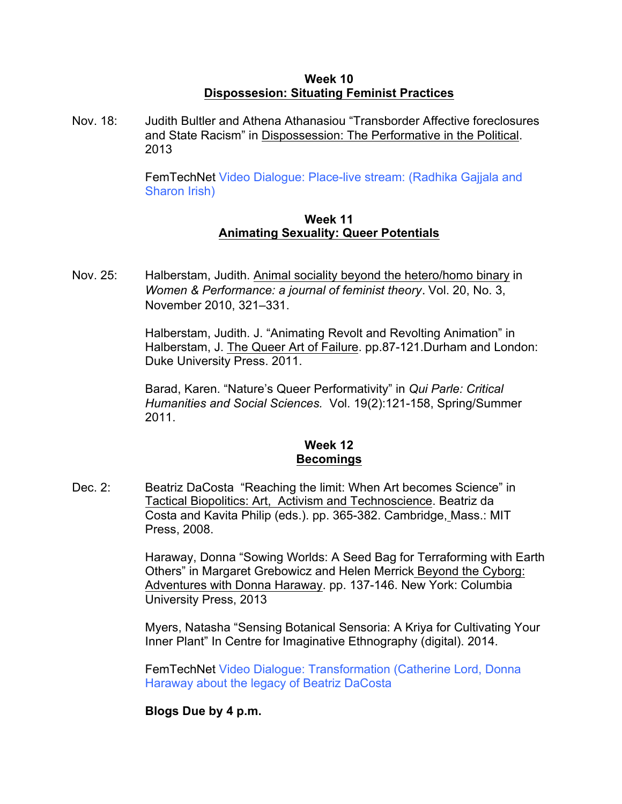# **Week 10 Dispossesion: Situating Feminist Practices**

Nov. 18: Judith Bultler and Athena Athanasiou "Transborder Affective foreclosures and State Racism" in Dispossession: The Performative in the Political. 2013

> FemTechNet Video Dialogue: Place-live stream: (Radhika Gajjala and Sharon Irish)

# **Week 11 Animating Sexuality: Queer Potentials**

Nov. 25: Halberstam, Judith. Animal sociality beyond the hetero/homo binary in *Women & Performance: a journal of feminist theory*. Vol. 20, No. 3, November 2010, 321–331.

> Halberstam, Judith. J. "Animating Revolt and Revolting Animation" in Halberstam, J. The Queer Art of Failure. pp.87-121.Durham and London: Duke University Press. 2011.

Barad, Karen. "Nature's Queer Performativity" in *Qui Parle: Critical Humanities and Social Sciences.* Vol. 19(2):121-158, Spring/Summer 2011.

# **Week 12 Becomings**

Dec. 2: Beatriz DaCosta "Reaching the limit: When Art becomes Science" in Tactical Biopolitics: Art, Activism and Technoscience. Beatriz da Costa and Kavita Philip (eds.). pp. 365-382. Cambridge, Mass.: MIT Press, 2008.

> Haraway, Donna "Sowing Worlds: A Seed Bag for Terraforming with Earth Others" in Margaret Grebowicz and Helen Merrick Beyond the Cyborg: Adventures with Donna Haraway. pp. 137-146. New York: Columbia University Press, 2013

Myers, Natasha "Sensing Botanical Sensoria: A Kriya for Cultivating Your Inner Plant" In Centre for Imaginative Ethnography (digital). 2014.

FemTechNet Video Dialogue: Transformation (Catherine Lord, Donna Haraway about the legacy of Beatriz DaCosta

# **Blogs Due by 4 p.m.**